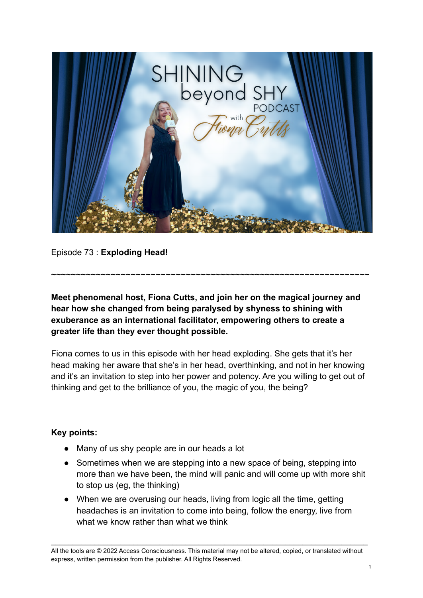

Episode 73 : **Exploding Head!**

**Meet phenomenal host, Fiona Cutts, and join her on the magical journey and hear how she changed from being paralysed by shyness to shining with exuberance as an international facilitator, empowering others to create a greater life than they ever thought possible.**

~~~~~~~~~~~~~~~~~~~~~~~~~~~~~~~~~~~~~~~~~~~~~~~~~~~~~~~~~~~~~~~~

Fiona comes to us in this episode with her head exploding. She gets that it's her head making her aware that she's in her head, overthinking, and not in her knowing and it's an invitation to step into her power and potency. Are you willing to get out of thinking and get to the brilliance of you, the magic of you, the being?

## **Key points:**

- Many of us shy people are in our heads a lot
- Sometimes when we are stepping into a new space of being, stepping into more than we have been, the mind will panic and will come up with more shit to stop us (eg, the thinking)
- When we are overusing our heads, living from logic all the time, getting headaches is an invitation to come into being, follow the energy, live from what we know rather than what we think

All the tools are © 2022 Access Consciousness. This material may not be altered, copied, or translated without express, written permission from the publisher. All Rights Reserved.

\_\_\_\_\_\_\_\_\_\_\_\_\_\_\_\_\_\_\_\_\_\_\_\_\_\_\_\_\_\_\_\_\_\_\_\_\_\_\_\_\_\_\_\_\_\_\_\_\_\_\_\_\_\_\_\_\_\_\_\_\_\_\_\_\_\_\_\_\_\_\_\_\_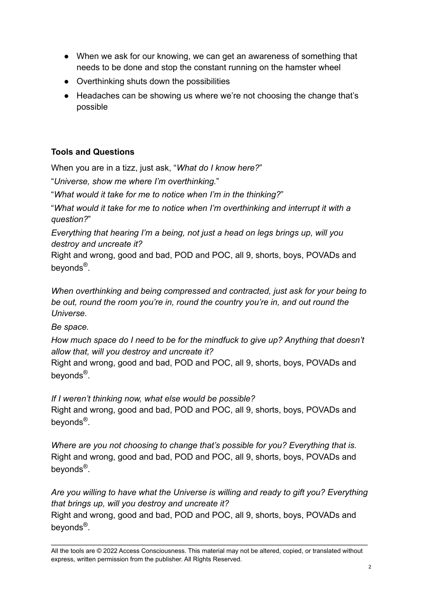- When we ask for our knowing, we can get an awareness of something that needs to be done and stop the constant running on the hamster wheel
- Overthinking shuts down the possibilities
- Headaches can be showing us where we're not choosing the change that's possible

## **Tools and Questions**

When you are in a tizz, just ask, "*What do I know here?*"

"*Universe, show me where I'm overthinking.*"

"*What would it take for me to notice when I'm in the thinking?*"

"*What would it take for me to notice when I'm overthinking and interrupt it with a question?*"

*Everything that hearing I'm a being, not just a head on legs brings up, will you destroy and uncreate it?*

Right and wrong, good and bad, POD and POC, all 9, shorts, boys, POVADs and beyonds<sup>®</sup>.

*When overthinking and being compressed and contracted, just ask for your being to be out, round the room you're in, round the country you're in, and out round the Universe.*

*Be space.*

*How much space do I need to be for the mindfuck to give up? Anything that doesn't allow that, will you destroy and uncreate it?*

Right and wrong, good and bad, POD and POC, all 9, shorts, boys, POVADs and beyonds<sup>®</sup>.

*If I weren't thinking now, what else would be possible?*

Right and wrong, good and bad, POD and POC, all 9, shorts, boys, POVADs and beyonds<sup>®</sup>.

*Where are you not choosing to change that's possible for you? Everything that is.* Right and wrong, good and bad, POD and POC, all 9, shorts, boys, POVADs and beyonds<sup>®</sup>.

*Are you willing to have what the Universe is willing and ready to gift you? Everything that brings up, will you destroy and uncreate it?*

Right and wrong, good and bad, POD and POC, all 9, shorts, boys, POVADs and beyonds<sup>®</sup>.

\_\_\_\_\_\_\_\_\_\_\_\_\_\_\_\_\_\_\_\_\_\_\_\_\_\_\_\_\_\_\_\_\_\_\_\_\_\_\_\_\_\_\_\_\_\_\_\_\_\_\_\_\_\_\_\_\_\_\_\_\_\_\_\_\_\_\_\_\_\_\_\_\_

All the tools are © 2022 Access Consciousness. This material may not be altered, copied, or translated without express, written permission from the publisher. All Rights Reserved.